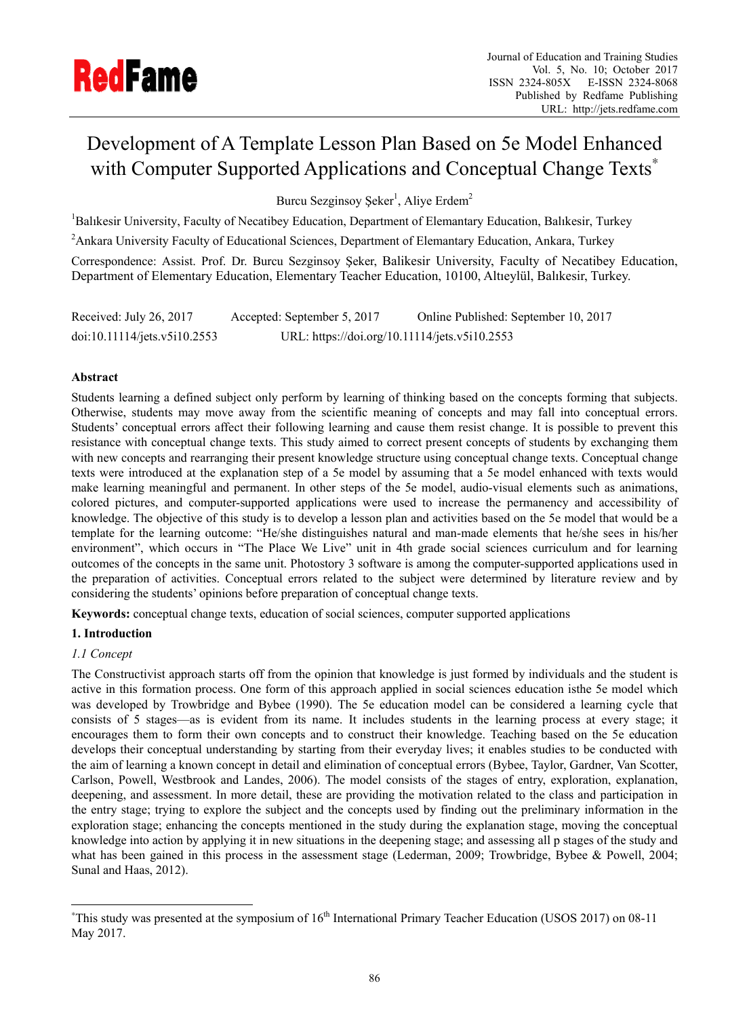

# Development of A Template Lesson Plan Based on 5e Model Enhanced with Computer Supported Applications and Conceptual Change Texts<sup>\*</sup>

Burcu Sezginsoy Şeker<sup>1</sup>, Aliye Erdem<sup>2</sup>

<sup>1</sup>Balıkesir University, Faculty of Necatibey Education, Department of Elemantary Education, Balıkesir, Turkey

<sup>2</sup> Ankara University Faculty of Educational Sciences, Department of Elemantary Education, Ankara, Turkey

Correspondence: Assist. Prof. Dr. Burcu Sezginsoy Şeker, Balikesir University, Faculty of Necatibey Education, Department of Elementary Education, Elementary Teacher Education, 10100, Altıeylül, Balıkesir, Turkey.

Received: July 26, 2017 Accepted: September 5, 2017 Online Published: September 10, 2017 doi:10.11114/jets.v5i10.2553 URL: https://doi.org/10.11114/jets.v5i10.2553

# **Abstract**

Students learning a defined subject only perform by learning of thinking based on the concepts forming that subjects. Otherwise, students may move away from the scientific meaning of concepts and may fall into conceptual errors. Students' conceptual errors affect their following learning and cause them resist change. It is possible to prevent this resistance with conceptual change texts. This study aimed to correct present concepts of students by exchanging them with new concepts and rearranging their present knowledge structure using conceptual change texts. Conceptual change texts were introduced at the explanation step of a 5e model by assuming that a 5e model enhanced with texts would make learning meaningful and permanent. In other steps of the 5e model, audio-visual elements such as animations, colored pictures, and computer-supported applications were used to increase the permanency and accessibility of knowledge. The objective of this study is to develop a lesson plan and activities based on the 5e model that would be a template for the learning outcome: "He/she distinguishes natural and man-made elements that he/she sees in his/her environment", which occurs in "The Place We Live" unit in 4th grade social sciences curriculum and for learning outcomes of the concepts in the same unit. Photostory 3 software is among the computer-supported applications used in the preparation of activities. Conceptual errors related to the subject were determined by literature review and by considering the students' opinions before preparation of conceptual change texts.

**Keywords:** conceptual change texts, education of social sciences, computer supported applications

# **1. Introduction**

# *1.1 Concept*

 $\overline{a}$ 

The Constructivist approach starts off from the opinion that knowledge is just formed by individuals and the student is active in this formation process. One form of this approach applied in social sciences education isthe 5e model which was developed by Trowbridge and Bybee (1990). The 5e education model can be considered a learning cycle that consists of 5 stages—as is evident from its name. It includes students in the learning process at every stage; it encourages them to form their own concepts and to construct their knowledge. Teaching based on the 5e education develops their conceptual understanding by starting from their everyday lives; it enables studies to be conducted with the aim of learning a known concept in detail and elimination of conceptual errors (Bybee, Taylor, Gardner, Van Scotter, Carlson, Powell, Westbrook and Landes, 2006). The model consists of the stages of entry, exploration, explanation, deepening, and assessment. In more detail, these are providing the motivation related to the class and participation in the entry stage; trying to explore the subject and the concepts used by finding out the preliminary information in the exploration stage; enhancing the concepts mentioned in the study during the explanation stage, moving the conceptual knowledge into action by applying it in new situations in the deepening stage; and assessing all p stages of the study and what has been gained in this process in the assessment stage (Lederman, 2009; Trowbridge, Bybee & Powell, 2004; Sunal and Haas, 2012).

<sup>\*</sup>This study was presented at the symposium of 16<sup>th</sup> International Primary Teacher Education (USOS 2017) on 08-11 May 2017.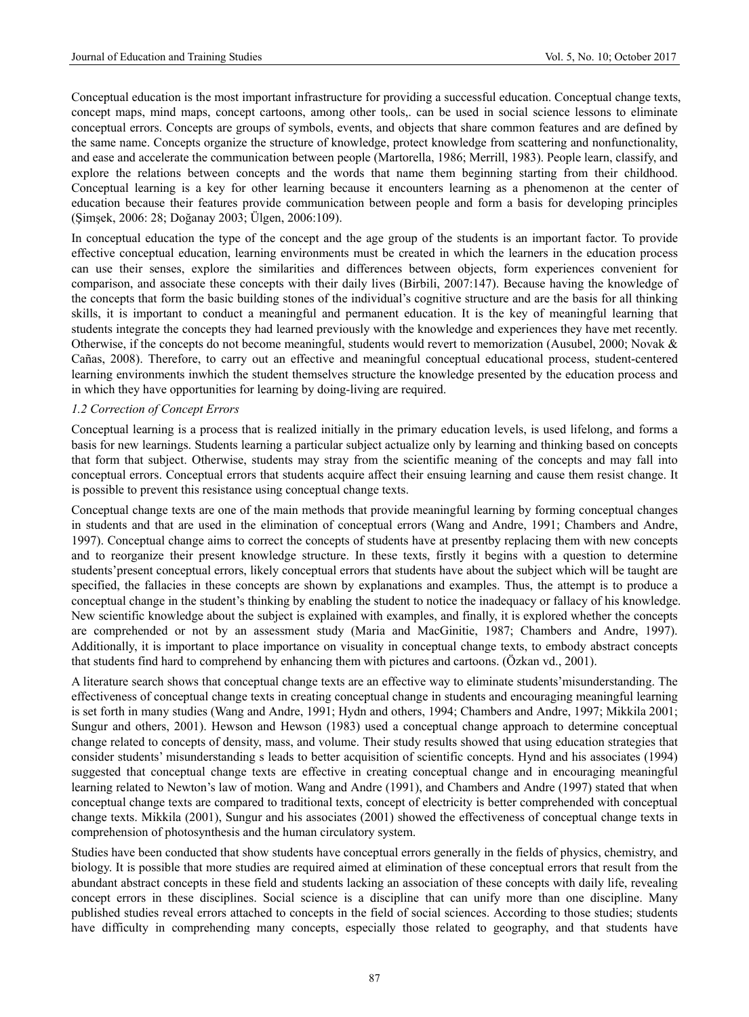Conceptual education is the most important infrastructure for providing a successful education. Conceptual change texts, concept maps, mind maps, concept cartoons, among other tools,. can be used in social science lessons to eliminate conceptual errors. Concepts are groups of symbols, events, and objects that share common features and are defined by the same name. Concepts organize the structure of knowledge, protect knowledge from scattering and nonfunctionality, and ease and accelerate the communication between people (Martorella, 1986; Merrill, 1983). People learn, classify, and explore the relations between concepts and the words that name them beginning starting from their childhood. Conceptual learning is a key for other learning because it encounters learning as a phenomenon at the center of education because their features provide communication between people and form a basis for developing principles (Şimşek, 2006: 28; Doğanay 2003; Ülgen, 2006:109).

In conceptual education the type of the concept and the age group of the students is an important factor. To provide effective conceptual education, learning environments must be created in which the learners in the education process can use their senses, explore the similarities and differences between objects, form experiences convenient for comparison, and associate these concepts with their daily lives (Birbili, 2007:147). Because having the knowledge of the concepts that form the basic building stones of the individual's cognitive structure and are the basis for all thinking skills, it is important to conduct a meaningful and permanent education. It is the key of meaningful learning that students integrate the concepts they had learned previously with the knowledge and experiences they have met recently. Otherwise, if the concepts do not become meaningful, students would revert to memorization (Ausubel, 2000; Novak & Cañas, 2008). Therefore, to carry out an effective and meaningful conceptual educational process, student-centered learning environments inwhich the student themselves structure the knowledge presented by the education process and in which they have opportunities for learning by doing-living are required.

#### *1.2 Correction of Concept Errors*

Conceptual learning is a process that is realized initially in the primary education levels, is used lifelong, and forms a basis for new learnings. Students learning a particular subject actualize only by learning and thinking based on concepts that form that subject. Otherwise, students may stray from the scientific meaning of the concepts and may fall into conceptual errors. Conceptual errors that students acquire affect their ensuing learning and cause them resist change. It is possible to prevent this resistance using conceptual change texts.

Conceptual change texts are one of the main methods that provide meaningful learning by forming conceptual changes in students and that are used in the elimination of conceptual errors (Wang and Andre, 1991; Chambers and Andre, 1997). Conceptual change aims to correct the concepts of students have at presentby replacing them with new concepts and to reorganize their present knowledge structure. In these texts, firstly it begins with a question to determine students'present conceptual errors, likely conceptual errors that students have about the subject which will be taught are specified, the fallacies in these concepts are shown by explanations and examples. Thus, the attempt is to produce a conceptual change in the student's thinking by enabling the student to notice the inadequacy or fallacy of his knowledge. New scientific knowledge about the subject is explained with examples, and finally, it is explored whether the concepts are comprehended or not by an assessment study (Maria and MacGinitie, 1987; Chambers and Andre, 1997). Additionally, it is important to place importance on visuality in conceptual change texts, to embody abstract concepts that students find hard to comprehend by enhancing them with pictures and cartoons. (Özkan vd., 2001).

A literature search shows that conceptual change texts are an effective way to eliminate students'misunderstanding. The effectiveness of conceptual change texts in creating conceptual change in students and encouraging meaningful learning is set forth in many studies (Wang and Andre, 1991; Hydn and others, 1994; Chambers and Andre, 1997; Mikkila 2001; Sungur and others, 2001). Hewson and Hewson (1983) used a conceptual change approach to determine conceptual change related to concepts of density, mass, and volume. Their study results showed that using education strategies that consider students' misunderstanding s leads to better acquisition of scientific concepts. Hynd and his associates (1994) suggested that conceptual change texts are effective in creating conceptual change and in encouraging meaningful learning related to Newton's law of motion. Wang and Andre (1991), and Chambers and Andre (1997) stated that when conceptual change texts are compared to traditional texts, concept of electricity is better comprehended with conceptual change texts. Mikkila (2001), Sungur and his associates (2001) showed the effectiveness of conceptual change texts in comprehension of photosynthesis and the human circulatory system.

Studies have been conducted that show students have conceptual errors generally in the fields of physics, chemistry, and biology. It is possible that more studies are required aimed at elimination of these conceptual errors that result from the abundant abstract concepts in these field and students lacking an association of these concepts with daily life, revealing concept errors in these disciplines. Social science is a discipline that can unify more than one discipline. Many published studies reveal errors attached to concepts in the field of social sciences. According to those studies; students have difficulty in comprehending many concepts, especially those related to geography, and that students have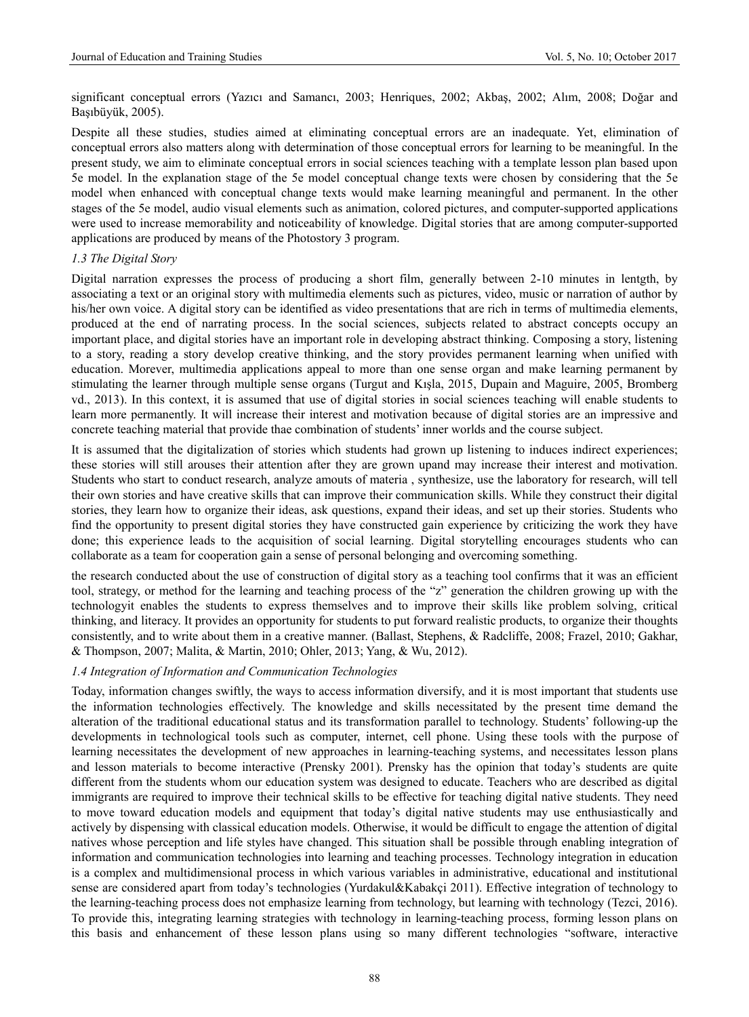significant conceptual errors (Yazıcı and Samancı, 2003; Henriques, 2002; Akbaş, 2002; Alım, 2008; Doğar and Başıbüyük, 2005).

Despite all these studies, studies aimed at eliminating conceptual errors are an inadequate. Yet, elimination of conceptual errors also matters along with determination of those conceptual errors for learning to be meaningful. In the present study, we aim to eliminate conceptual errors in social sciences teaching with a template lesson plan based upon 5e model. In the explanation stage of the 5e model conceptual change texts were chosen by considering that the 5e model when enhanced with conceptual change texts would make learning meaningful and permanent. In the other stages of the 5e model, audio visual elements such as animation, colored pictures, and computer-supported applications were used to increase memorability and noticeability of knowledge. Digital stories that are among computer-supported applications are produced by means of the Photostory 3 program.

## *1.3 The Digital Story*

Digital narration expresses the process of producing a short film, generally between 2-10 minutes in lentgth, by associating a text or an original story with multimedia elements such as pictures, video, music or narration of author by his/her own voice. A digital story can be identified as video presentations that are rich in terms of multimedia elements, produced at the end of narrating process. In the social sciences, subjects related to abstract concepts occupy an important place, and digital stories have an important role in developing abstract thinking. Composing a story, listening to a story, reading a story develop creative thinking, and the story provides permanent learning when unified with education. Morever, multimedia applications appeal to more than one sense organ and make learning permanent by stimulating the learner through multiple sense organs (Turgut and Kışla, 2015, Dupain and Maguire, 2005, Bromberg vd., 2013). In this context, it is assumed that use of digital stories in social sciences teaching will enable students to learn more permanently. It will increase their interest and motivation because of digital stories are an impressive and concrete teaching material that provide thae combination of students' inner worlds and the course subject.

It is assumed that the digitalization of stories which students had grown up listening to induces indirect experiences; these stories will still arouses their attention after they are grown upand may increase their interest and motivation. Students who start to conduct research, analyze amouts of materia , synthesize, use the laboratory for research, will tell their own stories and have creative skills that can improve their communication skills. While they construct their digital stories, they learn how to organize their ideas, ask questions, expand their ideas, and set up their stories. Students who find the opportunity to present digital stories they have constructed gain experience by criticizing the work they have done; this experience leads to the acquisition of social learning. Digital storytelling encourages students who can collaborate as a team for cooperation gain a sense of personal belonging and overcoming something.

the research conducted about the use of construction of digital story as a teaching tool confirms that it was an efficient tool, strategy, or method for the learning and teaching process of the "z" generation the children growing up with the technologyit enables the students to express themselves and to improve their skills like problem solving, critical thinking, and literacy. It provides an opportunity for students to put forward realistic products, to organize their thoughts consistently, and to write about them in a creative manner. (Ballast, Stephens, & Radcliffe, 2008; Frazel, 2010; Gakhar, & Thompson, 2007; Malita, & Martin, 2010; Ohler, 2013; Yang, & Wu, 2012).

### *1.4 Integration of Information and Communication Technologies*

Today, information changes swiftly, the ways to access information diversify, and it is most important that students use the information technologies effectively. The knowledge and skills necessitated by the present time demand the alteration of the traditional educational status and its transformation parallel to technology. Students' following-up the developments in technological tools such as computer, internet, cell phone. Using these tools with the purpose of learning necessitates the development of new approaches in learning-teaching systems, and necessitates lesson plans and lesson materials to become interactive (Prensky 2001). Prensky has the opinion that today's students are quite different from the students whom our education system was designed to educate. Teachers who are described as digital immigrants are required to improve their technical skills to be effective for teaching digital native students. They need to move toward education models and equipment that today's digital native students may use enthusiastically and actively by dispensing with classical education models. Otherwise, it would be difficult to engage the attention of digital natives whose perception and life styles have changed. This situation shall be possible through enabling integration of information and communication technologies into learning and teaching processes. Technology integration in education is a complex and multidimensional process in which various variables in administrative, educational and institutional sense are considered apart from today's technologies (Yurdakul&Kabakçi 2011). Effective integration of technology to the learning-teaching process does not emphasize learning from technology, but learning with technology (Tezci, 2016). To provide this, integrating learning strategies with technology in learning-teaching process, forming lesson plans on this basis and enhancement of these lesson plans using so many different technologies "software, interactive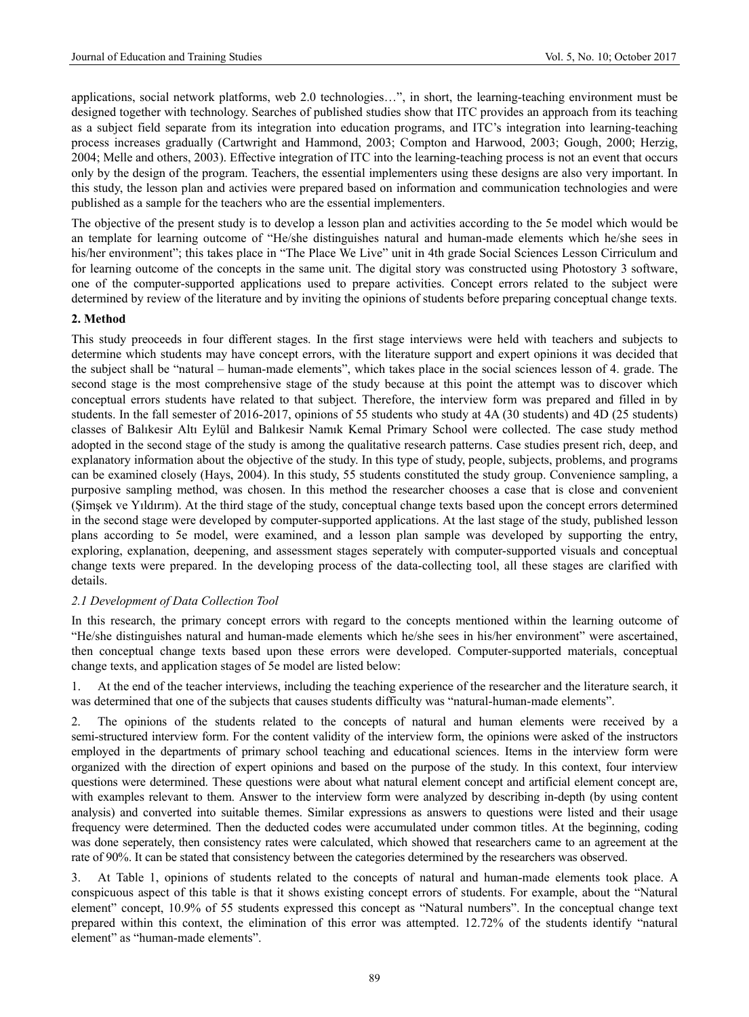applications, social network platforms, web 2.0 technologies…", in short, the learning-teaching environment must be designed together with technology. Searches of published studies show that ITC provides an approach from its teaching as a subject field separate from its integration into education programs, and ITC's integration into learning-teaching process increases gradually (Cartwright and Hammond, 2003; Compton and Harwood, 2003; Gough, 2000; Herzig, 2004; Melle and others, 2003). Effective integration of ITC into the learning-teaching process is not an event that occurs only by the design of the program. Teachers, the essential implementers using these designs are also very important. In this study, the lesson plan and activies were prepared based on information and communication technologies and were published as a sample for the teachers who are the essential implementers.

The objective of the present study is to develop a lesson plan and activities according to the 5e model which would be an template for learning outcome of "He/she distinguishes natural and human-made elements which he/she sees in his/her environment"; this takes place in "The Place We Live" unit in 4th grade Social Sciences Lesson Cirriculum and for learning outcome of the concepts in the same unit. The digital story was constructed using Photostory 3 software, one of the computer-supported applications used to prepare activities. Concept errors related to the subject were determined by review of the literature and by inviting the opinions of students before preparing conceptual change texts.

## **2. Method**

This study preoceeds in four different stages. In the first stage interviews were held with teachers and subjects to determine which students may have concept errors, with the literature support and expert opinions it was decided that the subject shall be "natural – human-made elements", which takes place in the social sciences lesson of 4. grade. The second stage is the most comprehensive stage of the study because at this point the attempt was to discover which conceptual errors students have related to that subject. Therefore, the interview form was prepared and filled in by students. In the fall semester of 2016-2017, opinions of 55 students who study at 4A (30 students) and 4D (25 students) classes of Balıkesir Altı Eylül and Balıkesir Namık Kemal Primary School were collected. The case study method adopted in the second stage of the study is among the qualitative research patterns. Case studies present rich, deep, and explanatory information about the objective of the study. In this type of study, people, subjects, problems, and programs can be examined closely (Hays, 2004). In this study, 55 students constituted the study group. Convenience sampling, a purposive sampling method, was chosen. In this method the researcher chooses a case that is close and convenient (Şimşek ve Yıldırım). At the third stage of the study, conceptual change texts based upon the concept errors determined in the second stage were developed by computer-supported applications. At the last stage of the study, published lesson plans according to 5e model, were examined, and a lesson plan sample was developed by supporting the entry, exploring, explanation, deepening, and assessment stages seperately with computer-supported visuals and conceptual change texts were prepared. In the developing process of the data-collecting tool, all these stages are clarified with details.

### *2.1 Development of Data Collection Tool*

In this research, the primary concept errors with regard to the concepts mentioned within the learning outcome of "He/she distinguishes natural and human-made elements which he/she sees in his/her environment" were ascertained, then conceptual change texts based upon these errors were developed. Computer-supported materials, conceptual change texts, and application stages of 5e model are listed below:

1. At the end of the teacher interviews, including the teaching experience of the researcher and the literature search, it was determined that one of the subjects that causes students difficulty was "natural-human-made elements".

2. The opinions of the students related to the concepts of natural and human elements were received by a semi-structured interview form. For the content validity of the interview form, the opinions were asked of the instructors employed in the departments of primary school teaching and educational sciences. Items in the interview form were organized with the direction of expert opinions and based on the purpose of the study. In this context, four interview questions were determined. These questions were about what natural element concept and artificial element concept are, with examples relevant to them. Answer to the interview form were analyzed by describing in-depth (by using content analysis) and converted into suitable themes. Similar expressions as answers to questions were listed and their usage frequency were determined. Then the deducted codes were accumulated under common titles. At the beginning, coding was done seperately, then consistency rates were calculated, which showed that researchers came to an agreement at the rate of 90%. It can be stated that consistency between the categories determined by the researchers was observed.

3. At Table 1, opinions of students related to the concepts of natural and human-made elements took place. A conspicuous aspect of this table is that it shows existing concept errors of students. For example, about the "Natural element" concept, 10.9% of 55 students expressed this concept as "Natural numbers". In the conceptual change text prepared within this context, the elimination of this error was attempted. 12.72% of the students identify "natural element" as "human-made elements".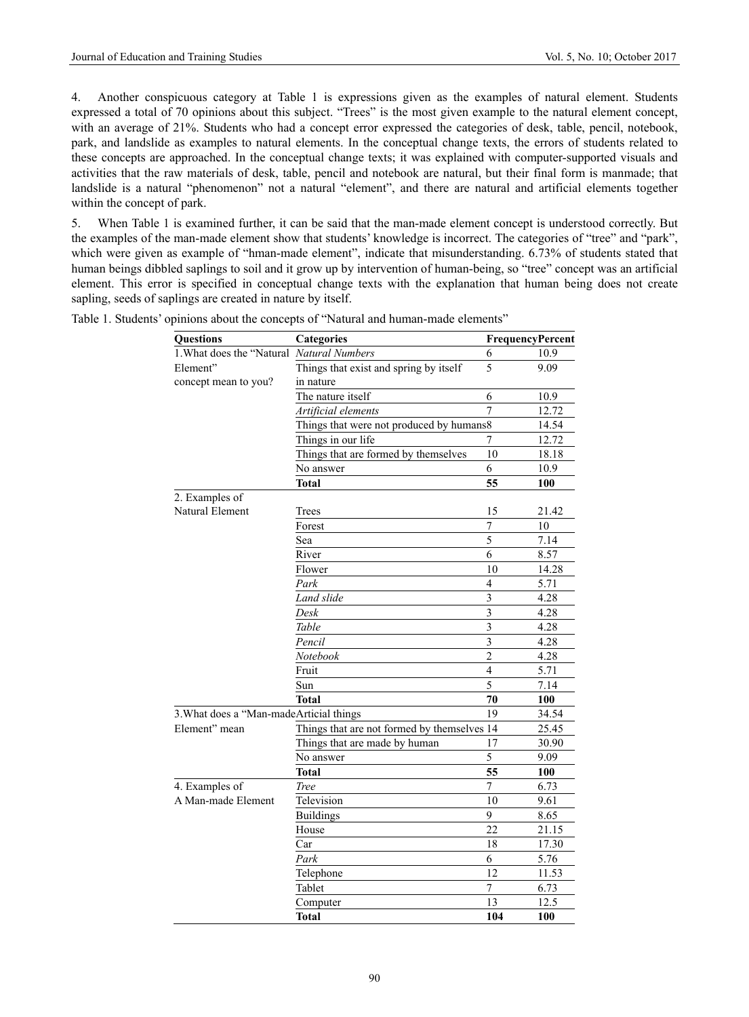4. Another conspicuous category at Table 1 is expressions given as the examples of natural element. Students expressed a total of 70 opinions about this subject. "Trees" is the most given example to the natural element concept, with an average of 21%. Students who had a concept error expressed the categories of desk, table, pencil, notebook, park, and landslide as examples to natural elements. In the conceptual change texts, the errors of students related to these concepts are approached. In the conceptual change texts; it was explained with computer-supported visuals and activities that the raw materials of desk, table, pencil and notebook are natural, but their final form is manmade; that landslide is a natural "phenomenon" not a natural "element", and there are natural and artificial elements together within the concept of park.

5. When Table 1 is examined further, it can be said that the man-made element concept is understood correctly. But the examples of the man-made element show that students' knowledge is incorrect. The categories of "tree" and "park", which were given as example of "hman-made element", indicate that misunderstanding. 6.73% of students stated that human beings dibbled saplings to soil and it grow up by intervention of human-being, so "tree" concept was an artificial element. This error is specified in conceptual change texts with the explanation that human being does not create sapling, seeds of saplings are created in nature by itself.

| <b>Questions</b>                          | <b>Categories</b>                           | FrequencyPercent        |       |
|-------------------------------------------|---------------------------------------------|-------------------------|-------|
| 1. What does the "Natural Natural Numbers |                                             | 6                       | 10.9  |
| Element"                                  | Things that exist and spring by itself      | 5                       | 9.09  |
| concept mean to you?                      | in nature                                   |                         |       |
|                                           | The nature itself                           | 6                       | 10.9  |
|                                           | Artificial elements                         | 7                       | 12.72 |
|                                           | Things that were not produced by humans8    |                         | 14.54 |
|                                           | Things in our life                          | 7                       | 12.72 |
|                                           | Things that are formed by themselves        | 10                      | 18.18 |
|                                           | No answer                                   | 6                       | 10.9  |
|                                           | <b>Total</b>                                | 55                      | 100   |
| 2. Examples of                            |                                             |                         |       |
| Natural Element                           | Trees                                       | 15                      | 21.42 |
|                                           | Forest                                      | $\overline{7}$          | 10    |
|                                           | Sea                                         | 5                       | 7.14  |
|                                           | River                                       | 6                       | 8.57  |
|                                           | Flower                                      | 10                      | 14.28 |
|                                           | Park                                        | $\overline{4}$          | 5.71  |
|                                           | Land slide                                  | $\overline{\mathbf{3}}$ | 4.28  |
|                                           | Desk                                        | $\overline{\mathbf{3}}$ | 4.28  |
|                                           | Table                                       | $\overline{\mathbf{3}}$ | 4.28  |
|                                           | Pencil                                      | 3                       | 4.28  |
|                                           | Notebook                                    | $\overline{2}$          | 4.28  |
|                                           | Fruit                                       | $\overline{4}$          | 5.71  |
|                                           | Sun                                         | $\overline{5}$          | 7.14  |
|                                           | <b>Total</b>                                | 70                      | 100   |
| 3. What does a "Man-made Articial things  |                                             | 19                      | 34.54 |
| Element" mean                             | Things that are not formed by themselves 14 |                         | 25.45 |
|                                           | Things that are made by human               | 17                      | 30.90 |
|                                           | No answer                                   | $\overline{5}$          | 9.09  |
|                                           | <b>Total</b>                                | 55                      | 100   |
| 4. Examples of                            | <b>Tree</b>                                 | $\overline{7}$          | 6.73  |
| A Man-made Element                        | Television                                  | 10                      | 9.61  |
|                                           | <b>Buildings</b>                            | 9                       | 8.65  |
|                                           | House                                       | 22                      | 21.15 |
|                                           | Car                                         | 18                      | 17.30 |
|                                           | Park                                        | 6                       | 5.76  |
|                                           | Telephone                                   | 12                      | 11.53 |
|                                           | Tablet                                      | 7                       | 6.73  |
|                                           | Computer                                    | 13                      | 12.5  |
|                                           | <b>Total</b>                                | 104                     | 100   |

Table 1. Students' opinions about the concepts of "Natural and human-made elements"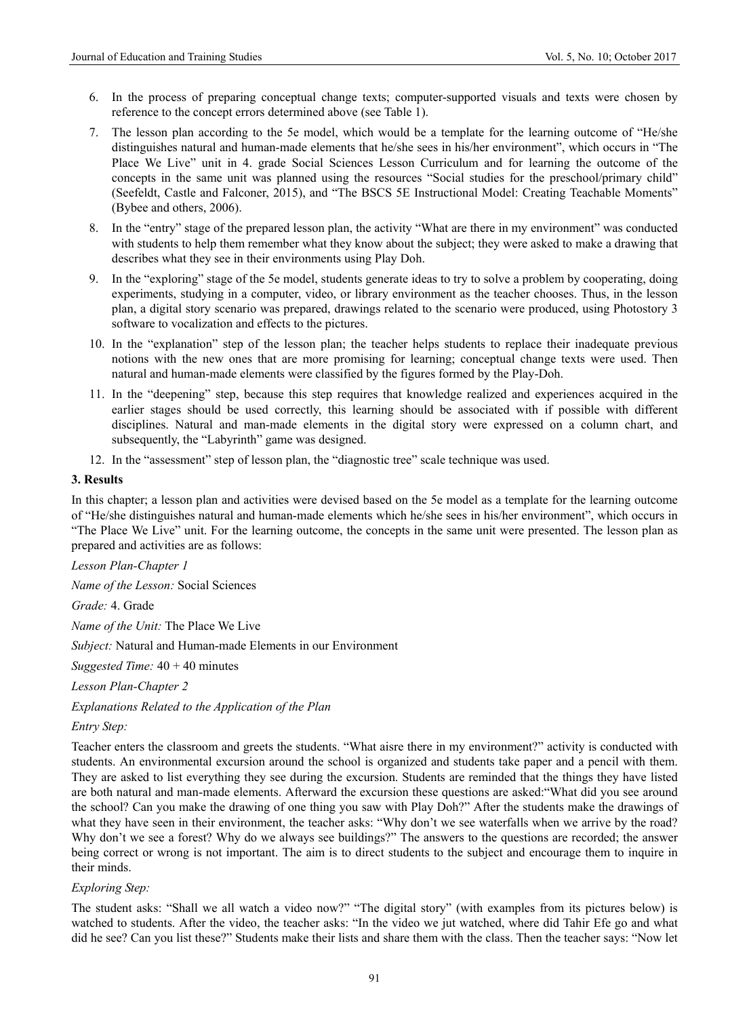- 6. In the process of preparing conceptual change texts; computer-supported visuals and texts were chosen by reference to the concept errors determined above (see Table 1).
- 7. The lesson plan according to the 5e model, which would be a template for the learning outcome of "He/she distinguishes natural and human-made elements that he/she sees in his/her environment", which occurs in "The Place We Live" unit in 4. grade Social Sciences Lesson Curriculum and for learning the outcome of the concepts in the same unit was planned using the resources "Social studies for the preschool/primary child" (Seefeldt, Castle and Falconer, 2015), and "The BSCS 5E Instructional Model: Creating Teachable Moments" (Bybee and others, 2006).
- 8. In the "entry" stage of the prepared lesson plan, the activity "What are there in my environment" was conducted with students to help them remember what they know about the subject; they were asked to make a drawing that describes what they see in their environments using Play Doh.
- 9. In the "exploring" stage of the 5e model, students generate ideas to try to solve a problem by cooperating, doing experiments, studying in a computer, video, or library environment as the teacher chooses. Thus, in the lesson plan, a digital story scenario was prepared, drawings related to the scenario were produced, using Photostory 3 software to vocalization and effects to the pictures.
- 10. In the "explanation" step of the lesson plan; the teacher helps students to replace their inadequate previous notions with the new ones that are more promising for learning; conceptual change texts were used. Then natural and human-made elements were classified by the figures formed by the Play-Doh.
- 11. In the "deepening" step, because this step requires that knowledge realized and experiences acquired in the earlier stages should be used correctly, this learning should be associated with if possible with different disciplines. Natural and man-made elements in the digital story were expressed on a column chart, and subsequently, the "Labyrinth" game was designed.
- 12. In the "assessment" step of lesson plan, the "diagnostic tree" scale technique was used.

### **3. Results**

In this chapter; a lesson plan and activities were devised based on the 5e model as a template for the learning outcome of "He/she distinguishes natural and human-made elements which he/she sees in his/her environment", which occurs in "The Place We Live" unit. For the learning outcome, the concepts in the same unit were presented. The lesson plan as prepared and activities are as follows:

*Lesson Plan-Chapter 1*

*Name of the Lesson:* Social Sciences

*Grade:* 4. Grade

*Name of the Unit:* The Place We Live

*Subject:* Natural and Human-made Elements in our Environment

*Suggested Time:* 40 + 40 minutes

*Lesson Plan-Chapter 2*

*Explanations Related to the Application of the Plan* 

*Entry Step:* 

Teacher enters the classroom and greets the students. "What aisre there in my environment?" activity is conducted with students. An environmental excursion around the school is organized and students take paper and a pencil with them. They are asked to list everything they see during the excursion. Students are reminded that the things they have listed are both natural and man-made elements. Afterward the excursion these questions are asked:"What did you see around the school? Can you make the drawing of one thing you saw with Play Doh?" After the students make the drawings of what they have seen in their environment, the teacher asks: "Why don't we see waterfalls when we arrive by the road? Why don't we see a forest? Why do we always see buildings?" The answers to the questions are recorded; the answer being correct or wrong is not important. The aim is to direct students to the subject and encourage them to inquire in their minds.

### *Exploring Step:*

The student asks: "Shall we all watch a video now?" "The digital story" (with examples from its pictures below) is watched to students. After the video, the teacher asks: "In the video we jut watched, where did Tahir Efe go and what did he see? Can you list these?" Students make their lists and share them with the class. Then the teacher says: "Now let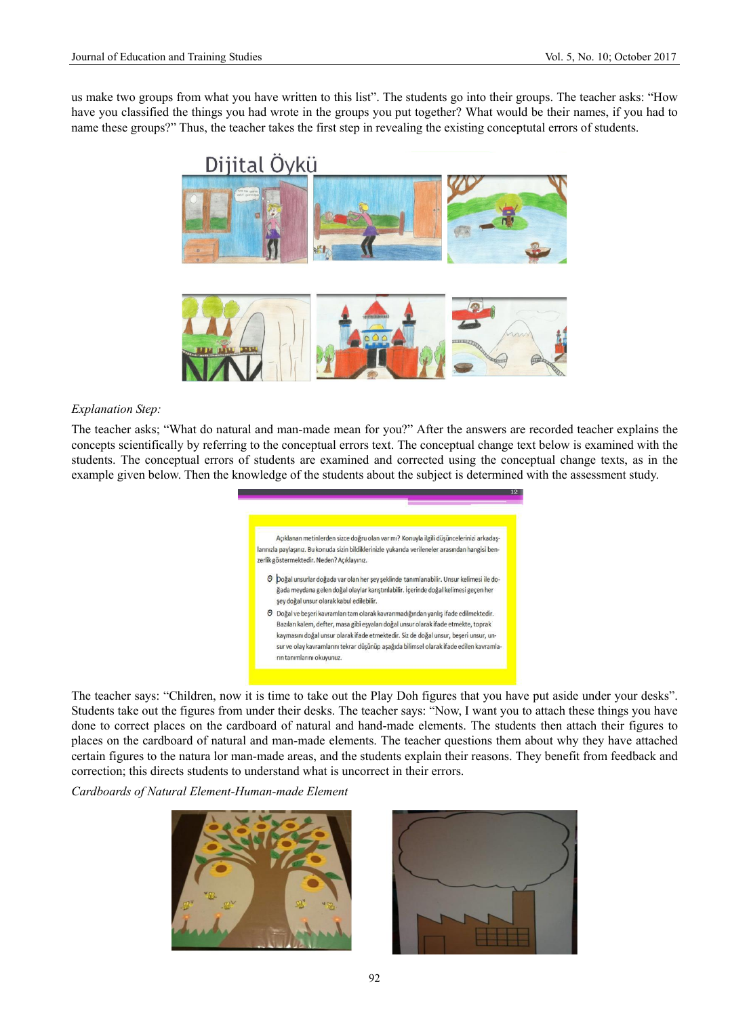us make two groups from what you have written to this list". The students go into their groups. The teacher asks: "How have you classified the things you had wrote in the groups you put together? What would be their names, if you had to name these groups?" Thus, the teacher takes the first step in revealing the existing conceptutal errors of students.



#### *Explanation Step:*

The teacher asks; "What do natural and man-made mean for you?" After the answers are recorded teacher explains the concepts scientifically by referring to the conceptual errors text. The conceptual change text below is examined with the students. The conceptual errors of students are examined and corrected using the conceptual change texts, as in the example given below. Then the knowledge of the students about the subject is determined with the assessment study.

> Açıklanan metinlerden sizce doğru olan var mı? Konuyla ilgili düşüncelerinizi arkadaşlarınızla paylaşınız. Bu konuda sizin bildiklerinizle yukarıda verileneler arasından hangisi benzerlik göstermektedir. Neden? Acıklayınız. O boğal unsurlar doğada var olan her şey şeklinde tanımlanabilir. Unsur kelimesi ile do-

- .<br>ğada meydana gelen doğal olaylar karıştırılabilir. İçerinde doğal kelimesi geçen her şey doğal unsur olarak kabul edilebilir. O Doğal ve beşeri kavramları tam olarak kavranmadığından yanlış ifade edilmektedir. Bazıları kalem, defter, masa gibi eşyaları doğal unsur olarak ifade etmekte, toprak
- kaymasını doğal unsur olarak ifade etmektedir. Siz de doğal unsur, beşeri unsur, unsur ve olay kavramlarını tekrar düşünüp aşağıda bilimsel olarak ifade edilen kavramların tanımlarını okuvunuz

The teacher says: "Children, now it is time to take out the Play Doh figures that you have put aside under your desks". Students take out the figures from under their desks. The teacher says: "Now, I want you to attach these things you have done to correct places on the cardboard of natural and hand-made elements. The students then attach their figures to places on the cardboard of natural and man-made elements. The teacher questions them about why they have attached certain figures to the natura lor man-made areas, and the students explain their reasons. They benefit from feedback and correction; this directs students to understand what is uncorrect in their errors.

*Cardboards of Natural Element-Human-made Element* 



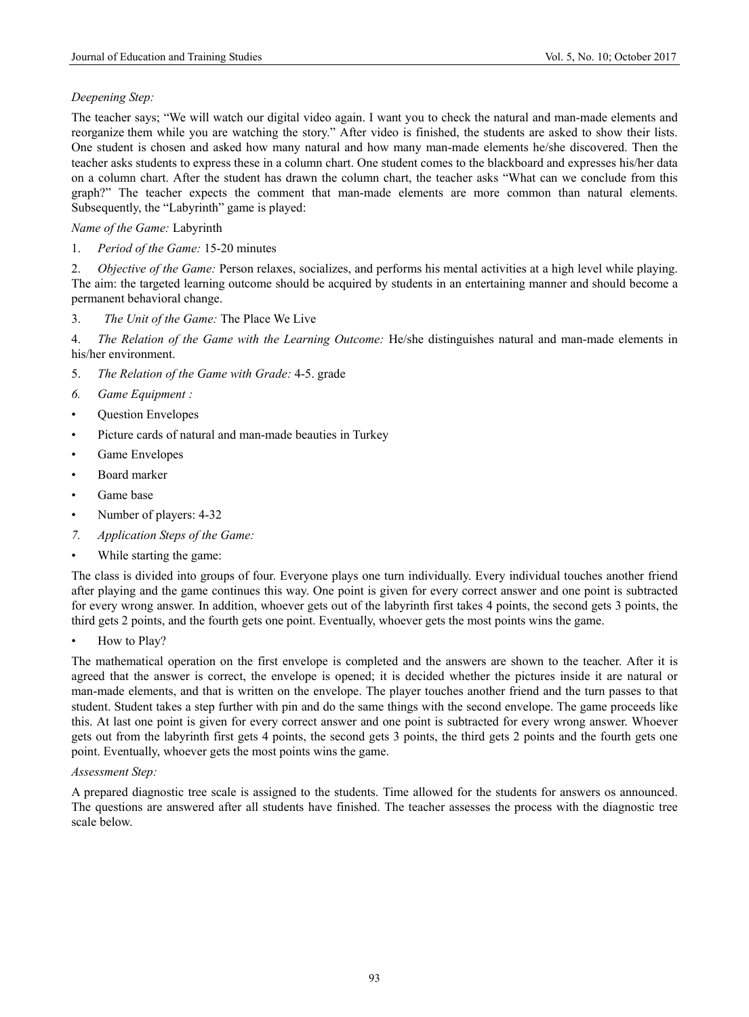# *Deepening Step:*

The teacher says; "We will watch our digital video again. I want you to check the natural and man-made elements and reorganize them while you are watching the story." After video is finished, the students are asked to show their lists. One student is chosen and asked how many natural and how many man-made elements he/she discovered. Then the teacher asks students to express these in a column chart. One student comes to the blackboard and expresses his/her data on a column chart. After the student has drawn the column chart, the teacher asks "What can we conclude from this graph?" The teacher expects the comment that man-made elements are more common than natural elements. Subsequently, the "Labyrinth" game is played:

# *Name of the Game:* Labyrinth

1. *Period of the Game:* 15-20 minutes

2. *Objective of the Game:* Person relaxes, socializes, and performs his mental activities at a high level while playing. The aim: the targeted learning outcome should be acquired by students in an entertaining manner and should become a permanent behavioral change.

3. *The Unit of the Game:* The Place We Live

4. *The Relation of the Game with the Learning Outcome:* He/she distinguishes natural and man-made elements in his/her environment.

- 5. *The Relation of the Game with Grade:* 4-5. grade
- *6. Game Equipment :*
- Question Envelopes
- Picture cards of natural and man-made beauties in Turkey
- Game Envelopes
- Board marker
- Game base
- Number of players: 4-32
- *7. Application Steps of the Game:*
- While starting the game:

The class is divided into groups of four. Everyone plays one turn individually. Every individual touches another friend after playing and the game continues this way. One point is given for every correct answer and one point is subtracted for every wrong answer. In addition, whoever gets out of the labyrinth first takes 4 points, the second gets 3 points, the third gets 2 points, and the fourth gets one point. Eventually, whoever gets the most points wins the game.

• How to Play?

The mathematical operation on the first envelope is completed and the answers are shown to the teacher. After it is agreed that the answer is correct, the envelope is opened; it is decided whether the pictures inside it are natural or man-made elements, and that is written on the envelope. The player touches another friend and the turn passes to that student. Student takes a step further with pin and do the same things with the second envelope. The game proceeds like this. At last one point is given for every correct answer and one point is subtracted for every wrong answer. Whoever gets out from the labyrinth first gets 4 points, the second gets 3 points, the third gets 2 points and the fourth gets one point. Eventually, whoever gets the most points wins the game.

# *Assessment Step:*

A prepared diagnostic tree scale is assigned to the students. Time allowed for the students for answers os announced. The questions are answered after all students have finished. The teacher assesses the process with the diagnostic tree scale below.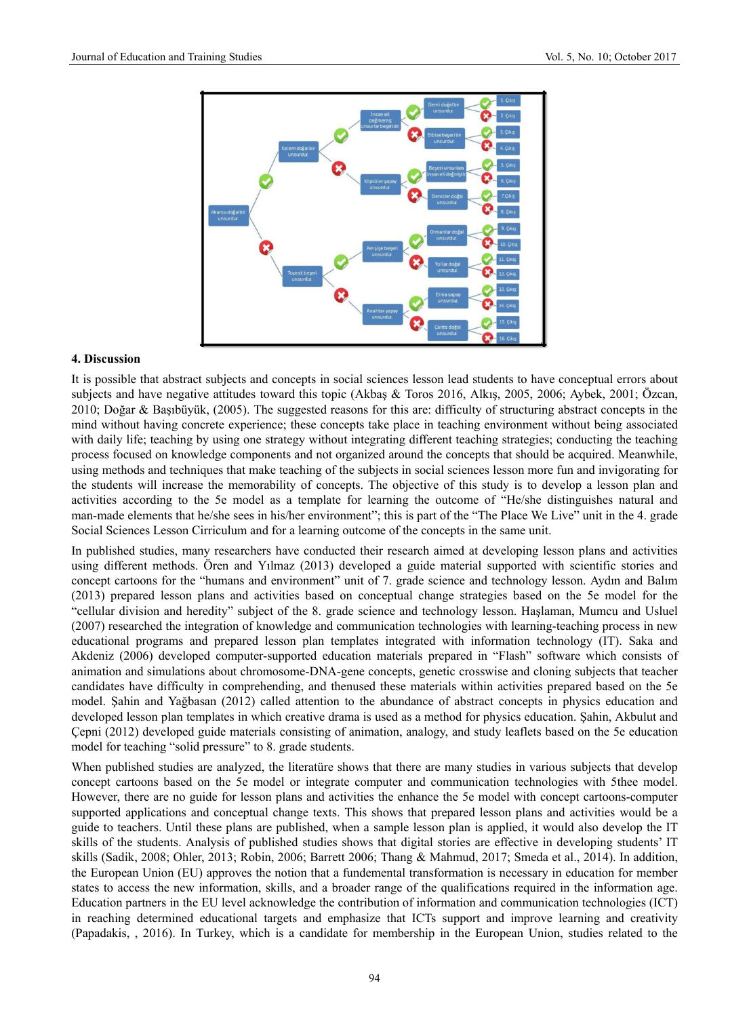

## **4. Discussion**

It is possible that abstract subjects and concepts in social sciences lesson lead students to have conceptual errors about subjects and have negative attitudes toward this topic (Akbaş & Toros 2016, Alkış, 2005, 2006; Aybek, 2001; Özcan, 2010; Doğar & Başıbüyük, (2005). The suggested reasons for this are: difficulty of structuring abstract concepts in the mind without having concrete experience; these concepts take place in teaching environment without being associated with daily life; teaching by using one strategy without integrating different teaching strategies; conducting the teaching process focused on knowledge components and not organized around the concepts that should be acquired. Meanwhile, using methods and techniques that make teaching of the subjects in social sciences lesson more fun and invigorating for the students will increase the memorability of concepts. The objective of this study is to develop a lesson plan and activities according to the 5e model as a template for learning the outcome of "He/she distinguishes natural and man-made elements that he/she sees in his/her environment"; this is part of the "The Place We Live" unit in the 4. grade Social Sciences Lesson Cirriculum and for a learning outcome of the concepts in the same unit.

In published studies, many researchers have conducted their research aimed at developing lesson plans and activities using different methods. Ören and Yılmaz (2013) developed a guide material supported with scientific stories and concept cartoons for the "humans and environment" unit of 7. grade science and technology lesson. Aydın and Balım (2013) prepared lesson plans and activities based on conceptual change strategies based on the 5e model for the "cellular division and heredity" subject of the 8. grade science and technology lesson. Haşlaman, Mumcu and Usluel (2007) researched the integration of knowledge and communication technologies with learning-teaching process in new educational programs and prepared lesson plan templates integrated with information technology (IT). Saka and Akdeniz (2006) developed computer-supported education materials prepared in "Flash" software which consists of animation and simulations about chromosome-DNA-gene concepts, genetic crosswise and cloning subjects that teacher candidates have difficulty in comprehending, and thenused these materials within activities prepared based on the 5e model. Şahin and Yağbasan (2012) called attention to the abundance of abstract concepts in physics education and developed lesson plan templates in which creative drama is used as a method for physics education. Şahin, Akbulut and Çepni (2012) developed guide materials consisting of animation, analogy, and study leaflets based on the 5e education model for teaching "solid pressure" to 8. grade students.

When published studies are analyzed, the literatüre shows that there are many studies in various subjects that develop concept cartoons based on the 5e model or integrate computer and communication technologies with 5thee model. However, there are no guide for lesson plans and activities the enhance the 5e model with concept cartoons-computer supported applications and conceptual change texts. This shows that prepared lesson plans and activities would be a guide to teachers. Until these plans are published, when a sample lesson plan is applied, it would also develop the IT skills of the students. Analysis of published studies shows that digital stories are effective in developing students' IT skills (Sadik, 2008; Ohler, 2013; Robin, 2006; Barrett 2006; Thang & Mahmud, 2017; Smeda et al., 2014). In addition, the European Union (EU) approves the notion that a fundemental transformation is necessary in education for member states to access the new information, skills, and a broader range of the qualifications required in the information age. Education partners in the EU level acknowledge the contribution of information and communication technologies (ICT) in reaching determined educational targets and emphasize that ICTs support and improve learning and creativity (Papadakis, , 2016). In Turkey, which is a candidate for membership in the European Union, studies related to the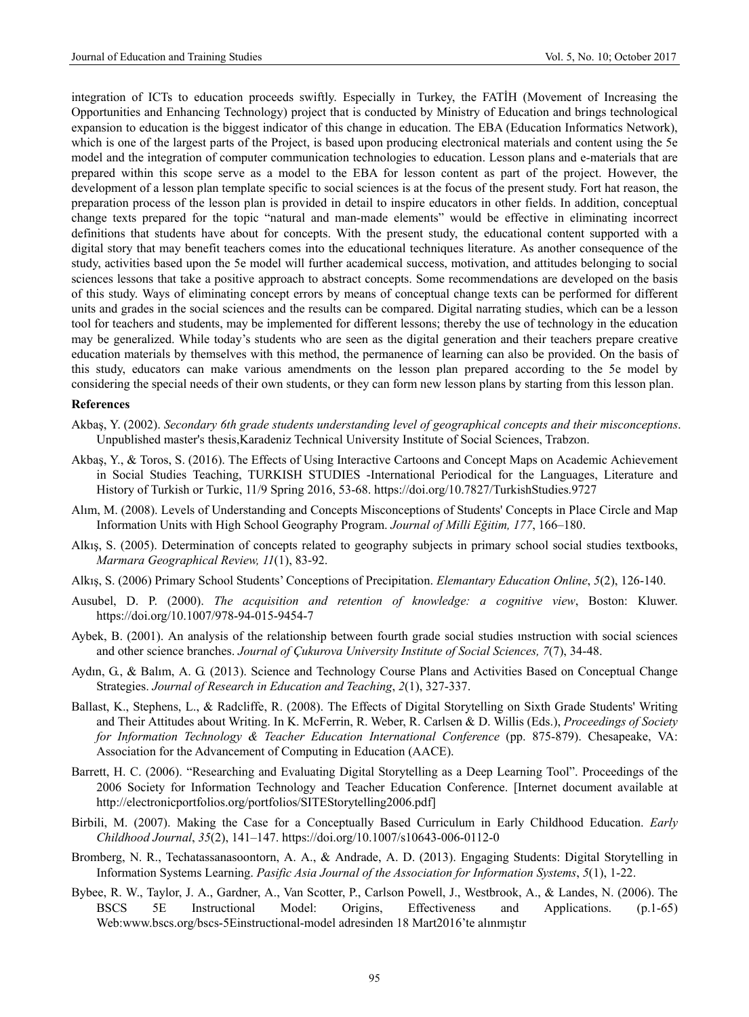integration of ICTs to education proceeds swiftly. Especially in Turkey, the FATİH (Movement of Increasing the Opportunities and Enhancing Technology) project that is conducted by Ministry of Education and brings technological expansion to education is the biggest indicator of this change in education. The EBA (Education Informatics Network), which is one of the largest parts of the Project, is based upon producing electronical materials and content using the 5e model and the integration of computer communication technologies to education. Lesson plans and e-materials that are prepared within this scope serve as a model to the EBA for lesson content as part of the project. However, the development of a lesson plan template specific to social sciences is at the focus of the present study. Fort hat reason, the preparation process of the lesson plan is provided in detail to inspire educators in other fields. In addition, conceptual change texts prepared for the topic "natural and man-made elements" would be effective in eliminating incorrect definitions that students have about for concepts. With the present study, the educational content supported with a digital story that may benefit teachers comes into the educational techniques literature. As another consequence of the study, activities based upon the 5e model will further academical success, motivation, and attitudes belonging to social sciences lessons that take a positive approach to abstract concepts. Some recommendations are developed on the basis of this study. Ways of eliminating concept errors by means of conceptual change texts can be performed for different units and grades in the social sciences and the results can be compared. Digital narrating studies, which can be a lesson tool for teachers and students, may be implemented for different lessons; thereby the use of technology in the education may be generalized. While today's students who are seen as the digital generation and their teachers prepare creative education materials by themselves with this method, the permanence of learning can also be provided. On the basis of this study, educators can make various amendments on the lesson plan prepared according to the 5e model by considering the special needs of their own students, or they can form new lesson plans by starting from this lesson plan.

#### **References**

- Akbaş, Y. (2002). *Secondary 6th grade students understanding level of geographical concepts and their misconceptions*. Unpublished master's thesis,Karadeniz Technical University Institute of Social Sciences, Trabzon.
- Akbaş, Y., & Toros, S. (2016). The Effects of Using Interactive Cartoons and Concept Maps on Academic Achievement in Social Studies Teaching, TURKISH STUDIES -International Periodical for the Languages, Literature and History of Turkish or Turkic, 11/9 Spring 2016, 53-68. https://doi.org/10.7827/TurkishStudies.9727
- Alım, M. (2008). Levels of Understanding and Concepts Misconceptions of Students' Concepts in Place Circle and Map Information Units with High School Geography Program. *Journal of Milli Eğitim, 177*, 166–180.
- Alkış, S. (2005). Determination of concepts related to geography subjects in primary school social studies textbooks, *Marmara Geographical Review, 11*(1), 83-92.
- Alkış, S. (2006) Primary School Students' Conceptions of Precipitation. *Elemantary Education Online*, *5*(2), 126-140.
- Ausubel, D. P. (2000). *The acquisition and retention of knowledge: a cognitive view*, Boston: Kluwer. https://doi.org/10.1007/978-94-015-9454-7
- Aybek, B. (2001). An analysis of the relationship between fourth grade social studies ınstruction with social sciences and other science branches. *Journal of Çukurova University Institute of Social Sciences, 7*(7), 34-48.
- Aydın, G., & Balım, A. G. (2013). Science and Technology Course Plans and Activities Based on Conceptual Change Strategies. *Journal of Research in Education and Teaching*, *2*(1), 327-337.
- Ballast, K., Stephens, L., & Radcliffe, R. (2008). The Effects of Digital Storytelling on Sixth Grade Students' Writing and Their Attitudes about Writing. In K. McFerrin, R. Weber, R. Carlsen & D. Willis (Eds.), *Proceedings of Society for Information Technology & Teacher Education International Conference* (pp. 875-879). Chesapeake, VA: Association for the Advancement of Computing in Education (AACE).
- Barrett, H. C. (2006). "Researching and Evaluating Digital Storytelling as a Deep Learning Tool". Proceedings of the 2006 Society for Information Technology and Teacher Education Conference. [Internet document available at http://electronicportfolios.org/portfolios/SITEStorytelling2006.pdf]
- Birbili, M. (2007). Making the Case for a Conceptually Based Curriculum in Early Childhood Education. *Early Childhood Journal*, *35*(2), 141–147. https://doi.org/10.1007/s10643-006-0112-0
- Bromberg, N. R., Techatassanasoontorn, A. A., & Andrade, A. D. (2013). Engaging Students: Digital Storytelling in Information Systems Learning. *Pasific Asia Journal of the Association for Information Systems*, *5*(1), 1-22.
- Bybee, R. W., Taylor, J. A., Gardner, A., Van Scotter, P., Carlson Powell, J., Westbrook, A., & Landes, N. (2006). The BSCS 5E Instructional Model: Origins, Effectiveness and Applications. (p.1-65) Web:www.bscs.org/bscs-5Einstructional-model adresinden 18 Mart2016'te alınmıştır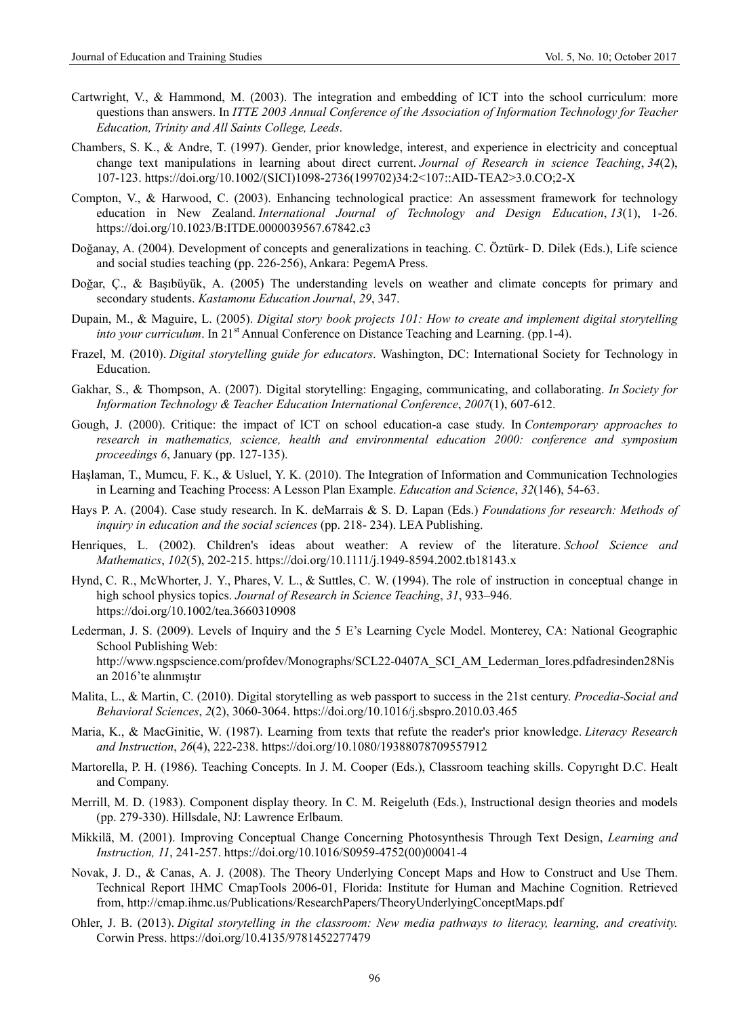- Cartwright, V., & Hammond, M. (2003). The integration and embedding of ICT into the school curriculum: more questions than answers. In *ITTE 2003 Annual Conference of the Association of Information Technology for Teacher Education, Trinity and All Saints College, Leeds*.
- Chambers, S. K., & Andre, T. (1997). Gender, prior knowledge, interest, and experience in electricity and conceptual change text manipulations in learning about direct current. *Journal of Research in science Teaching*, *34*(2), 107-123. https://doi.org/10.1002/(SICI)1098-2736(199702)34:2<107::AID-TEA2>3.0.CO;2-X
- Compton, V., & Harwood, C. (2003). Enhancing technological practice: An assessment framework for technology education in New Zealand. *International Journal of Technology and Design Education*, *13*(1), 1-26. https://doi.org/10.1023/B:ITDE.0000039567.67842.c3
- Doğanay, A. (2004). Development of concepts and generalizations in teaching. C. Öztürk- D. Dilek (Eds.), Life science and social studies teaching (pp. 226-256), Ankara: PegemA Press.
- Doğar, Ç., & Başıbüyük, A. (2005) The understanding levels on weather and climate concepts for primary and secondary students. *Kastamonu Education Journal*, *29*, 347.
- Dupain, M., & Maguire, L. (2005). *Digital story book projects 101: How to create and implement digital storytelling into your curriculum*. In 21<sup>st</sup> Annual Conference on Distance Teaching and Learning. (pp.1-4).
- Frazel, M. (2010). *Digital storytelling guide for educators*. Washington, DC: International Society for Technology in Education.
- Gakhar, S., & Thompson, A. (2007). Digital storytelling: Engaging, communicating, and collaborating. *In Society for Information Technology & Teacher Education International Conference*, *2007*(1), 607-612.
- Gough, J. (2000). Critique: the impact of ICT on school education-a case study. In *Contemporary approaches to research in mathematics, science, health and environmental education 2000: conference and symposium proceedings 6*, January (pp. 127-135).
- Haşlaman, T., Mumcu, F. K., & Usluel, Y. K. (2010). The Integration of Information and Communication Technologies in Learning and Teaching Process: A Lesson Plan Example. *Education and Science*, *32*(146), 54-63.
- Hays P. A. (2004). Case study research. In K. deMarrais & S. D. Lapan (Eds.) *Foundations for research: Methods of inquiry in education and the social sciences* (pp. 218- 234). LEA Publishing.
- Henriques, L. (2002). Children's ideas about weather: A review of the literature. *School Science and Mathematics*, *102*(5), 202-215. https://doi.org/10.1111/j.1949-8594.2002.tb18143.x
- Hynd, C. R., McWhorter, J. Y., Phares, V. L., & Suttles, C. W. (1994). The role of instruction in conceptual change in high school physics topics. *Journal of Research in Science Teaching*, *31*, 933–946. https://doi.org/10.1002/tea.3660310908
- Lederman, J. S. (2009). Levels of Inquiry and the 5 E's Learning Cycle Model. Monterey, CA: National Geographic School Publishing Web: http://www.ngspscience.com/profdev/Monographs/SCL22-0407A\_SCI\_AM\_Lederman\_lores.pdfadresinden28Nis an 2016'te alınmıştır
- Malita, L., & Martin, C. (2010). Digital storytelling as web passport to success in the 21st century. *Procedia-Social and Behavioral Sciences*, *2*(2), 3060-3064. https://doi.org/10.1016/j.sbspro.2010.03.465
- Maria, K., & MacGinitie, W. (1987). Learning from texts that refute the reader's prior knowledge. *Literacy Research and Instruction*, *26*(4), 222-238. https://doi.org/10.1080/19388078709557912
- Martorella, P. H. (1986). Teaching Concepts. In J. M. Cooper (Eds.), Classroom teaching skills. Copyrıght D.C. Healt and Company.
- Merrill, M. D. (1983). Component display theory. In C. M. Reigeluth (Eds.), Instructional design theories and models (pp. 279-330). Hillsdale, NJ: Lawrence Erlbaum.
- Mikkilä, M. (2001). Improving Conceptual Change Concerning Photosynthesis Through Text Design, *Learning and Instruction, 11*, 241-257. https://doi.org/10.1016/S0959-4752(00)00041-4
- Novak, J. D., & Canas, A. J. (2008). The Theory Underlying Concept Maps and How to Construct and Use Them. Technical Report IHMC CmapTools 2006-01, Florida: Institute for Human and Machine Cognition. Retrieved from, http://cmap.ihmc.us/Publications/ResearchPapers/TheoryUnderlyingConceptMaps.pdf
- Ohler, J. B. (2013). *Digital storytelling in the classroom: New media pathways to literacy, learning, and creativity.* Corwin Press. https://doi.org/10.4135/9781452277479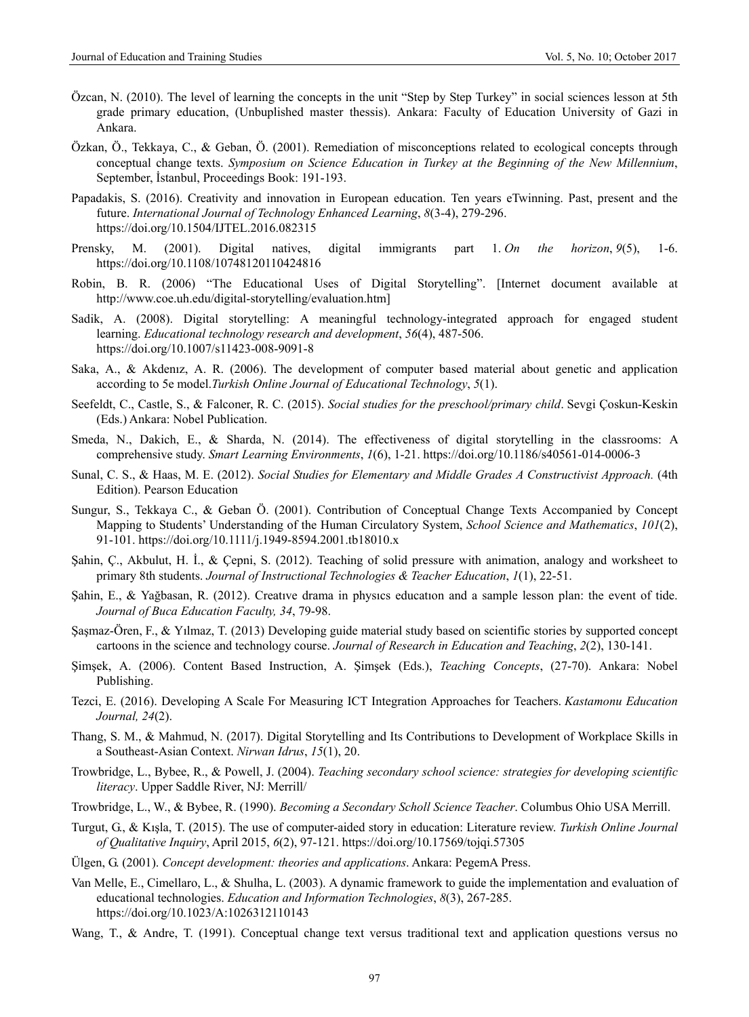- Özcan, N. (2010). The level of learning the concepts in the unit "Step by Step Turkey" in social sciences lesson at 5th grade primary education, (Unbuplished master thessis). Ankara: Faculty of Education University of Gazi in Ankara.
- Özkan, Ö., Tekkaya, C., & Geban, Ö. (2001). Remediation of misconceptions related to ecological concepts through conceptual change texts. *Symposium on Science Education in Turkey at the Beginning of the New Millennium*, September, İstanbul, Proceedings Book: 191-193.
- Papadakis, S. (2016). Creativity and innovation in European education. Ten years eTwinning. Past, present and the future. *International Journal of Technology Enhanced Learning*, *8*(3-4), 279-296. https://doi.org/10.1504/IJTEL.2016.082315
- Prensky, M. (2001). Digital natives, digital immigrants part 1. *On the horizon*, *9*(5), 1-6. https://doi.org/10.1108/10748120110424816
- Robin, B. R. (2006) "The Educational Uses of Digital Storytelling". [Internet document available at http://www.coe.uh.edu/digital-storytelling/evaluation.htm]
- Sadik, A. (2008). Digital storytelling: A meaningful technology-integrated approach for engaged student learning. *Educational technology research and development*, *56*(4), 487-506. https://doi.org/10.1007/s11423-008-9091-8
- Saka, A., & Akdenız, A. R. (2006). The development of computer based material about genetic and application according to 5e model.*Turkish Online Journal of Educational Technology*, *5*(1).
- Seefeldt, C., Castle, S., & Falconer, R. C. (2015). *Social studies for the preschool/primary child*. Sevgi Çoskun-Keskin (Eds.) Ankara: Nobel Publication.
- Smeda, N., Dakich, E., & Sharda, N. (2014). The effectiveness of digital storytelling in the classrooms: A comprehensive study. *Smart Learning Environments*, *1*(6), 1-21. https://doi.org/10.1186/s40561-014-0006-3
- Sunal, C. S., & Haas, M. E. (2012). *Social Studies for Elementary and Middle Grades A Constructivist Approach.* (4th Edition). Pearson Education
- Sungur, S., Tekkaya C., & Geban Ö. (2001). Contribution of Conceptual Change Texts Accompanied by Concept Mapping to Students' Understanding of the Human Circulatory System, *School Science and Mathematics*, *101*(2), 91-101. https://doi.org/10.1111/j.1949-8594.2001.tb18010.x
- Şahin, Ç., Akbulut, H. İ., & Çepni, S. (2012). Teaching of solid pressure with animation, analogy and worksheet to primary 8th students. *Journal of Instructional Technologies & Teacher Education*, *1*(1), 22-51.
- Şahin, E., & Yağbasan, R. (2012). Creatıve drama in physıcs educatıon and a sample lesson plan: the event of tide. *Journal of Buca Education Faculty, 34*, 79-98.
- Şaşmaz-Ören, F., & Yılmaz, T. (2013) Developing guide material study based on scientific stories by supported concept cartoons in the science and technology course. *Journal of Research in Education and Teaching*, *2*(2), 130-141.
- Şimşek, A. (2006). Content Based Instruction, A. Şimşek (Eds.), *Teaching Concepts*, (27-70). Ankara: Nobel Publishing.
- Tezci, E. (2016). Developing A Scale For Measuring ICT Integration Approaches for Teachers. *Kastamonu Education Journal, 24*(2).
- Thang, S. M., & Mahmud, N. (2017). Digital Storytelling and Its Contributions to Development of Workplace Skills in a Southeast-Asian Context. *Nirwan Idrus*, *15*(1), 20.
- Trowbridge, L., Bybee, R., & Powell, J. (2004). *Teaching secondary school science: strategies for developing scientific literacy*. Upper Saddle River, NJ: Merrill/
- Trowbridge, L., W., & Bybee, R. (1990). *Becoming a Secondary Scholl Science Teacher*. Columbus Ohio USA Merrill.
- Turgut, G., & Kışla, T. (2015). The use of computer-aided story in education: Literature review. *Turkish Online Journal of Qualitative Inquiry*, April 2015, *6*(2), 97-121. https://doi.org/10.17569/tojqi.57305
- Ülgen, G. (2001). *Concept development: theories and applications*. Ankara: PegemA Press.
- Van Melle, E., Cimellaro, L., & Shulha, L. (2003). A dynamic framework to guide the implementation and evaluation of educational technologies. *Education and Information Technologies*, *8*(3), 267-285. https://doi.org/10.1023/A:1026312110143
- Wang, T., & Andre, T. (1991). Conceptual change text versus traditional text and application questions versus no